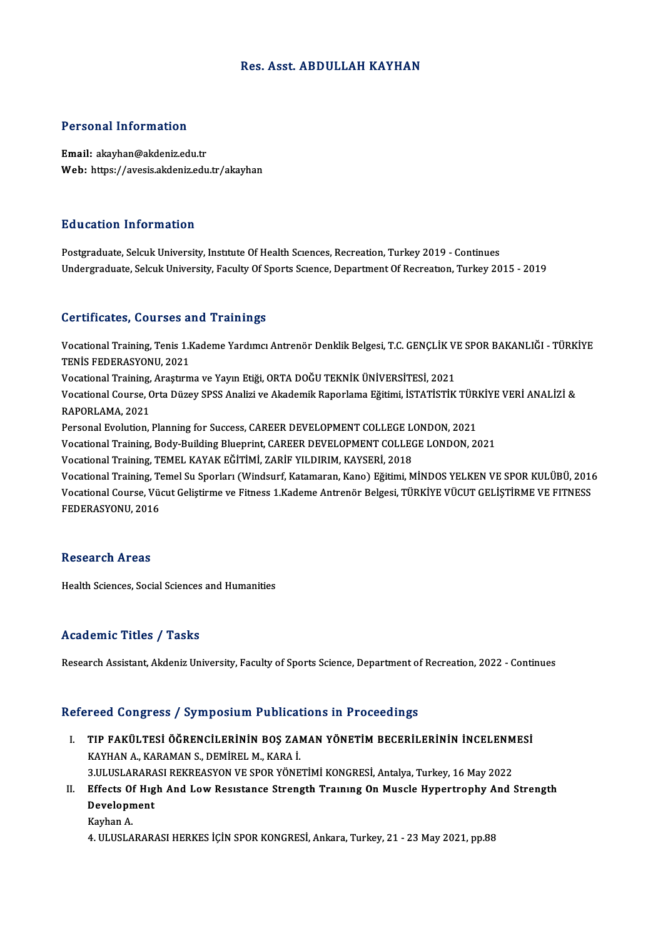## Res. Asst. ABDULLAH KAYHAN

## Personal Information

Email: akayhan@akdeniz.edu.tr Web: https://avesis.akdeniz.edu.tr/akayhan

## Education Information

Postgraduate, Selcuk University, Institute Of Health Sciences, Recreation, Turkey 2019 - Continues Undergraduate, Selcuk University, Faculty Of Sports Science, Department Of Recreation, Turkey 2015 - 2019

### Certificates, Courses and Trainings

Certificates, Courses and Trainings<br>Vocational Training, Tenis 1.Kademe Yardımcı Antrenör Denklik Belgesi, T.C. GENÇLİK VE SPOR BAKANLIĞI - TÜRKİYE<br>TENİŞ EEDERASYONU 2021 TENIS FEDERASYONU, 2021<br>TENİS FEDERASYONU, 2021<br>Vestional Training, Anastum Vocational Training, Tenis 1.Kademe Yardımcı Antrenör Denklik Belgesi, T.C. GENÇLİK V.<br>TENİS FEDERASYONU, 2021<br>Vocational Training, Araştırma ve Yayın Etiği, ORTA DOĞU TEKNİK ÜNİVERSİTESİ, 2021<br>Vesational Course Orta Düzey TENİS FEDERASYONU, 2021<br>Vocational Training, Araştırma ve Yayın Etiği, ORTA DOĞU TEKNİK ÜNİVERSİTESİ, 2021<br>Vocational Course, Orta Düzey SPSS Analizi ve Akademik Raporlama Eğitimi, İSTATİSTİK TÜRKİYE VERİ ANALİZİ & Vocational Training,<br>Vocational Course, C<br>RAPORLAMA, 2021<br>Personal Evolution Vocational Course, Orta Düzey SPSS Analizi ve Akademik Raporlama Eğitimi, İSTATİSTİK TÜRI<br>RAPORLAMA, 2021<br>Personal Evolution, Planning for Success, CAREER DEVELOPMENT COLLEGE LONDON, 2021<br>Vestional Training, Body Building RAPORLAMA, 2021<br>Personal Evolution, Planning for Success, CAREER DEVELOPMENT COLLEGE LONDON, 2021<br>Vocational Training, Body-Building Blueprint, CAREER DEVELOPMENT COLLEGE LONDON, 2021 Vocational Training, TEMEL KAYAK EĞİTİMİ, ZARİF YILDIRIM, KAYSERİ, 2018 Vocational Training, Temel Su Sporları (Windsurf, Katamaran, Kano) Eğitimi, MİNDOS YELKEN VE SPOR KULÜBÜ, 2016 Vocational Training, TEMEL KAYAK EĞİTİMİ, ZARİF YILDIRIM, KAYSERİ, 2018<br>Vocational Training, Temel Su Sporları (Windsurf, Katamaran, Kano) Eğitimi, MİNDOS YELKEN VE SPOR KULÜBÜ, 2016<br>Vocational Course, Vücut Geliştirme ve Vocational Training, Te<br>Vocational Course, Vü<br>FEDERASYONU, 2016

## FEDERASYONU, 2016<br>Research Areas

Health Sciences, Social Sciences and Humanities

## Academic Titles / Tasks

Research Assistant, Akdeniz University, Faculty of Sports Science, Department of Recreation, 2022 - Continues

## Refereed Congress / Symposium Publications in Proceedings

- efereed Congress / Symposium Publications in Proceedings<br>I. TIP FAKÜLTESİ ÖĞRENCİLERİNİN BOŞ ZAMAN YÖNETİM BECERİLERİNİN İNCELENMESİ TUR FAKÜLTESİ ÖĞRENCİLERİNİN BOŞ ZAI<br>KAYHAN A., KARAMAN S., DEMİREL M., KARA İ.<br>2 III USLARASI REKREASYON VE SROR YÖNE TIP FAKÜLTESİ ÖĞRENCİLERİNİN BOŞ ZAMAN YÖNETİM BECERİLERİNİN İNCELENM<br>KAYHAN A., KARAMAN S., DEMİREL M., KARA İ.<br>3.ULUSLARARASI REKREASYON VE SPOR YÖNETİMİ KONGRESİ, Antalya, Turkey, 16 May 2022<br>Fffects Of Hısh And Low Bes KAYHAN A., KARAMAN S., DEMİREL M., KARA İ.<br>3.ULUSLARARASI REKREASYON VE SPOR YÖNETİMİ KONGRESİ, Antalya, Turkey, 16 May 2022<br>II. Effects Of Hıgh And Low Resistance Strength Training On Muscle Hypertrophy And Strength<br>Devel
- **3.ULUSLARARA<br>Effects Of Hig<br>Development**<br>Karban A Effects Of<br>Developn<br>Kayhan A. Development<br>Kayhan A.<br>4. ULUSLARARASI HERKES İÇİN SPOR KONGRESİ, Ankara, Turkey, 21 - 23 May 2021, pp.88